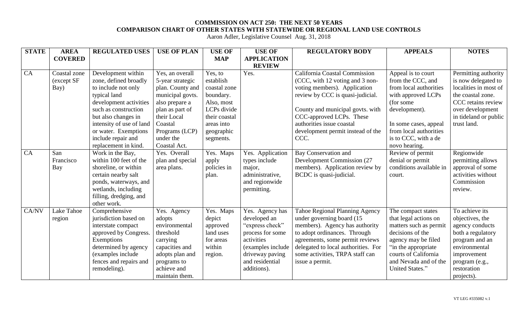## **COMMISSION ON ACT 250: THE NEXT 50 YEARS COMPARISON CHART OF OTHER STATES WITH STATEWIDE OR REGIONAL LAND USE CONTROLS**

Aaron Adler, Legislative Counsel Aug. 31, 2018

| <b>STATE</b> | <b>AREA</b>    | <b>REGULATED USES</b>    | <b>USE OF PLAN</b> | <b>USE OF</b> | <b>USE OF</b>      | <b>REGULATORY BODY</b>                | <b>APPEALS</b>          | <b>NOTES</b>          |
|--------------|----------------|--------------------------|--------------------|---------------|--------------------|---------------------------------------|-------------------------|-----------------------|
|              | <b>COVERED</b> |                          |                    | <b>MAP</b>    | <b>APPLICATION</b> |                                       |                         |                       |
|              |                |                          |                    |               | <b>REVIEW</b>      |                                       |                         |                       |
| CA           | Coastal zone   | Development within       | Yes, an overall    | Yes, to       | Yes.               | California Coastal Commission         | Appeal is to court      | Permitting authority  |
|              | (except SF     | zone, defined broadly    | 5-year strategic   | establish     |                    | (CCC, with 12 voting and 3 non-       | from the CCC, and       | is now delegated to   |
|              | Bay)           | to include not only      | plan. County and   | coastal zone  |                    | voting members). Application          | from local authorities  | localities in most of |
|              |                | typical land             | municipal govts.   | boundary.     |                    | review by CCC is quasi-judicial.      | with approved LCPs      | the coastal zone.     |
|              |                | development activities   | also prepare a     | Also, most    |                    |                                       | (for some               | CCC retains review    |
|              |                | such as construction     | plan as part of    | LCPs divide   |                    | County and municipal govts. with      | development).           | over development      |
|              |                | but also changes in      | their Local        | their coastal |                    | CCC-approved LCPs. These              |                         | in tideland or public |
|              |                | intensity of use of land | Coastal            | areas into    |                    | authorities issue coastal             | In some cases, appeal   | trust land.           |
|              |                | or water. Exemptions     | Programs (LCP)     | geographic    |                    | development permit instead of the     | from local authorities  |                       |
|              |                | include repair and       | under the          | segments.     |                    | CCC.                                  | is to CCC, with a de    |                       |
|              |                | replacement in kind.     | Coastal Act.       |               |                    |                                       | novo hearing.           |                       |
| CA           | San            | Work in the Bay,         | Yes. Overall       | Yes. Maps     | Yes. Application   | <b>Bay Conservation and</b>           | Review of permit        | Regionwide            |
|              | Francisco      | within 100 feet of the   | plan and special   | apply         | types include      | <b>Development Commission (27</b>     | denial or permit        | permitting allows     |
|              | Bay            | shoreline, or within     | area plans.        | policies in   | major,             | members). Application review by       | conditions available in | approval of some      |
|              |                | certain nearby salt      |                    | plan.         | administrative,    | BCDC is quasi-judicial.               | court.                  | activities without    |
|              |                | ponds, waterways, and    |                    |               | and regionwide     |                                       |                         | Commission            |
|              |                | wetlands, including      |                    |               | permitting.        |                                       |                         | review.               |
|              |                | filling, dredging, and   |                    |               |                    |                                       |                         |                       |
|              |                | other work.              |                    |               |                    |                                       |                         |                       |
| CA/NV        | Lake Tahoe     | Comprehensive            | Yes. Agency        | Yes. Maps     | Yes. Agency has    | <b>Tahoe Regional Planning Agency</b> | The compact states      | To achieve its        |
|              | region         | jurisdiction based on    | adopts             | depict        | developed an       | under governing board (15             | that legal actions on   | objectives, the       |
|              |                | interstate compact       | environmental      | approved      | "express check"    | members). Agency has authority        | matters such as permit  | agency conducts       |
|              |                | approved by Congress.    | threshold          | land uses     | process for some   | to adopt ordinances. Through          | decisions of the        | both a regulatory     |
|              |                | Exemptions               | carrying           | for areas     | activities         | agreements, some permit reviews       | agency may be filed     | program and an        |
|              |                | determined by agency     | capacities and     | within        | (examples include) | delegated to local authorities. For   | in the appropriate      | environmental         |
|              |                | (examples include        | adopts plan and    | region.       | driveway paving    | some activities, TRPA staff can       | courts of California    | improvement           |
|              |                | fences and repairs and   | programs to        |               | and residential    | issue a permit.                       | and Nevada and of the   | program (e.g.,        |
|              |                | remodeling).             | achieve and        |               | additions).        |                                       | United States."         | restoration           |
|              |                |                          | maintain them.     |               |                    |                                       |                         | projects).            |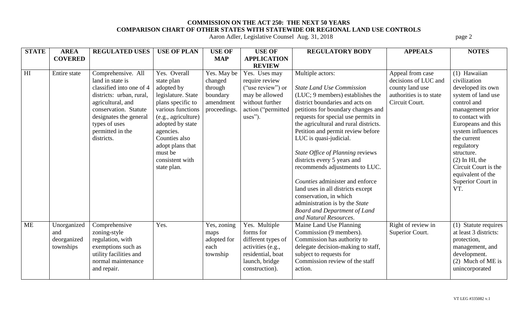## **COMMISSION ON THE ACT 250: THE NEXT 50 YEARS COMPARISON CHART OF OTHER STATES WITH STATEWIDE OR REGIONAL LAND USE CONTROLS**

Aaron Adler, Legislative Counsel Aug. 31, 2018 **page 2** page 2

| <b>STATE</b>   | <b>AREA</b>    | <b>REGULATED USES</b>    | <b>USE OF PLAN</b>  | <b>USE OF</b> | <b>USE OF</b>      | <b>REGULATORY BODY</b>                | <b>APPEALS</b>          | <b>NOTES</b>          |
|----------------|----------------|--------------------------|---------------------|---------------|--------------------|---------------------------------------|-------------------------|-----------------------|
|                | <b>COVERED</b> |                          |                     | <b>MAP</b>    | <b>APPLICATION</b> |                                       |                         |                       |
|                |                |                          |                     |               | <b>REVIEW</b>      |                                       |                         |                       |
| H <sub>I</sub> | Entire state   | Comprehensive. All       | Yes. Overall        | Yes. May be   | Yes. Uses may      | Multiple actors:                      | Appeal from case        | (1) Hawaiian          |
|                |                | land in state is         | state plan          | changed       | require review     |                                       | decisions of LUC and    | civilization          |
|                |                | classified into one of 4 | adopted by          | through       | ("use review") or  | <b>State Land Use Commission</b>      | county land use         | developed its own     |
|                |                | districts: urban, rural, | legislature. State  | boundary      | may be allowed     | (LUC; 9 members) establishes the      | authorities is to state | system of land use    |
|                |                | agricultural, and        | plans specific to   | amendment     | without further    | district boundaries and acts on       | Circuit Court.          | control and           |
|                |                | conservation. Statute    | various functions   | proceedings.  | action ("permitted | petitions for boundary changes and    |                         | management prior      |
|                |                | designates the general   | (e.g., agriculture) |               | $uses$ ").         | requests for special use permits in   |                         | to contact with       |
|                |                | types of uses            | adopted by state    |               |                    | the agricultural and rural districts. |                         | Europeans and this    |
|                |                | permitted in the         | agencies.           |               |                    | Petition and permit review before     |                         | system influences     |
|                |                | districts.               | Counties also       |               |                    | LUC is quasi-judicial.                |                         | the current           |
|                |                |                          | adopt plans that    |               |                    |                                       |                         | regulatory            |
|                |                |                          | must be             |               |                    | State Office of Planning reviews      |                         | structure.            |
|                |                |                          | consistent with     |               |                    | districts every 5 years and           |                         | $(2)$ In HI, the      |
|                |                |                          | state plan.         |               |                    | recommends adjustments to LUC.        |                         | Circuit Court is the  |
|                |                |                          |                     |               |                    |                                       |                         | equivalent of the     |
|                |                |                          |                     |               |                    | Counties administer and enforce       |                         | Superior Court in     |
|                |                |                          |                     |               |                    | land uses in all districts except     |                         | VT.                   |
|                |                |                          |                     |               |                    | conservation, in which                |                         |                       |
|                |                |                          |                     |               |                    | administration is by the State        |                         |                       |
|                |                |                          |                     |               |                    | <b>Board and Department of Land</b>   |                         |                       |
|                |                |                          |                     |               |                    | and Natural Resources.                |                         |                       |
| <b>ME</b>      | Unorganized    | Comprehensive            | Yes.                | Yes, zoning   | Yes. Multiple      | Maine Land Use Planning               | Right of review in      | (1) Statute requires  |
|                | and            | zoning-style             |                     | maps          | forms for          | Commission (9 members).               | Superior Court.         | at least 3 districts: |
|                | deorganized    | regulation, with         |                     | adopted for   | different types of | Commission has authority to           |                         | protection,           |
|                | townships      | exemptions such as       |                     | each          | activities (e.g.,  | delegate decision-making to staff,    |                         | management, and       |
|                |                | utility facilities and   |                     | township      | residential, boat  | subject to requests for               |                         | development.          |
|                |                | normal maintenance       |                     |               | launch, bridge     | Commission review of the staff        |                         | (2) Much of ME is     |
|                |                | and repair.              |                     |               | construction).     | action.                               |                         | unincorporated        |
|                |                |                          |                     |               |                    |                                       |                         |                       |